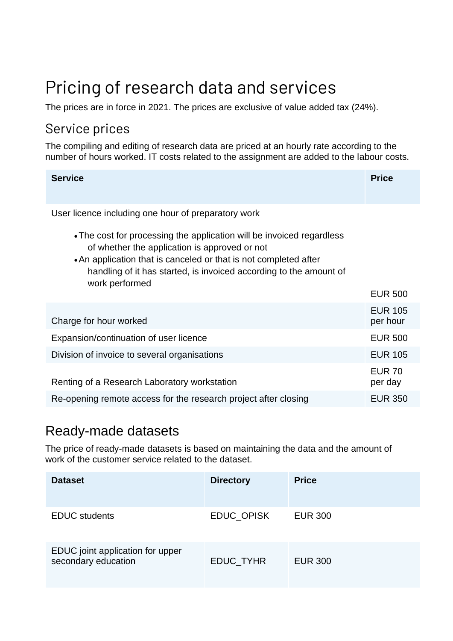# Pricing of research data and services

The prices are in force in 2021. The prices are exclusive of value added tax (24%).

## Service prices

The compiling and editing of research data are priced at an hourly rate according to the number of hours worked. IT costs related to the assignment are added to the labour costs.

| <b>Service</b>                                                                                                                                                                                                                                                                     | <b>Price</b>               |
|------------------------------------------------------------------------------------------------------------------------------------------------------------------------------------------------------------------------------------------------------------------------------------|----------------------------|
| User licence including one hour of preparatory work                                                                                                                                                                                                                                |                            |
| • The cost for processing the application will be invoiced regardless<br>of whether the application is approved or not<br>• An application that is canceled or that is not completed after<br>handling of it has started, is invoiced according to the amount of<br>work performed | <b>EUR 500</b>             |
| Charge for hour worked                                                                                                                                                                                                                                                             | <b>EUR 105</b><br>per hour |
| Expansion/continuation of user licence                                                                                                                                                                                                                                             | <b>EUR 500</b>             |
| Division of invoice to several organisations                                                                                                                                                                                                                                       | <b>EUR 105</b>             |
| Renting of a Research Laboratory workstation                                                                                                                                                                                                                                       | <b>EUR 70</b><br>per day   |
| Re-opening remote access for the research project after closing                                                                                                                                                                                                                    | <b>EUR 350</b>             |

### Ready-made datasets

The price of ready-made datasets is based on maintaining the data and the amount of work of the customer service related to the dataset.

| <b>Dataset</b>                                          | <b>Directory</b>  | <b>Price</b>   |
|---------------------------------------------------------|-------------------|----------------|
| <b>EDUC</b> students                                    | <b>EDUC OPISK</b> | <b>EUR 300</b> |
| EDUC joint application for upper<br>secondary education | <b>EDUC TYHR</b>  | <b>EUR 300</b> |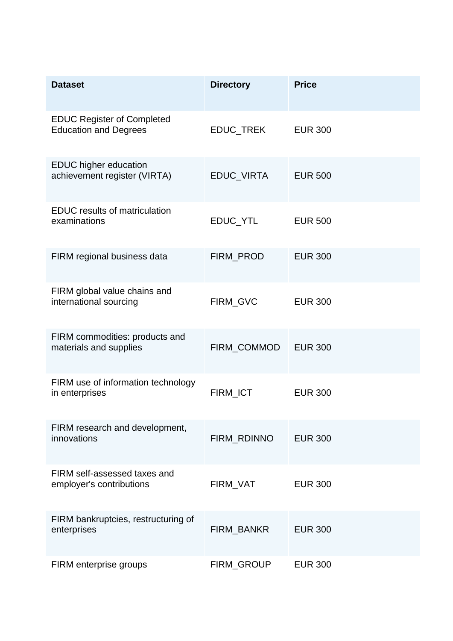| <b>Dataset</b>                                                    | <b>Directory</b> | <b>Price</b>   |
|-------------------------------------------------------------------|------------------|----------------|
| <b>EDUC Register of Completed</b><br><b>Education and Degrees</b> | EDUC_TREK        | <b>EUR 300</b> |
| <b>EDUC</b> higher education<br>achievement register (VIRTA)      | EDUC_VIRTA       | <b>EUR 500</b> |
| <b>EDUC</b> results of matriculation<br>examinations              | EDUC_YTL         | <b>EUR 500</b> |
| FIRM regional business data                                       | FIRM_PROD        | <b>EUR 300</b> |
| FIRM global value chains and<br>international sourcing            | FIRM_GVC         | <b>EUR 300</b> |
| FIRM commodities: products and<br>materials and supplies          | FIRM_COMMOD      | <b>EUR 300</b> |
| FIRM use of information technology<br>in enterprises              | FIRM_ICT         | <b>EUR 300</b> |
| FIRM research and development,<br>innovations                     | FIRM_RDINNO      | <b>EUR 300</b> |
| FIRM self-assessed taxes and<br>employer's contributions          | FIRM_VAT         | <b>EUR 300</b> |
| FIRM bankruptcies, restructuring of<br>enterprises                | FIRM_BANKR       | <b>EUR 300</b> |
| FIRM enterprise groups                                            | FIRM_GROUP       | <b>EUR 300</b> |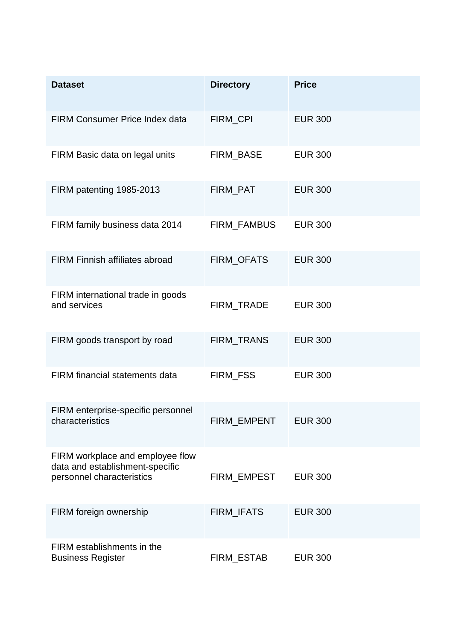| <b>Dataset</b>                                                                                   | <b>Directory</b>   | <b>Price</b>   |
|--------------------------------------------------------------------------------------------------|--------------------|----------------|
| <b>FIRM Consumer Price Index data</b>                                                            | <b>FIRM CPI</b>    | <b>EUR 300</b> |
| FIRM Basic data on legal units                                                                   | FIRM_BASE          | <b>EUR 300</b> |
| FIRM patenting 1985-2013                                                                         | FIRM_PAT           | <b>EUR 300</b> |
| FIRM family business data 2014                                                                   | FIRM_FAMBUS        | <b>EUR 300</b> |
| <b>FIRM Finnish affiliates abroad</b>                                                            | FIRM_OFATS         | <b>EUR 300</b> |
| FIRM international trade in goods<br>and services                                                | FIRM_TRADE         | <b>EUR 300</b> |
| FIRM goods transport by road                                                                     | FIRM_TRANS         | <b>EUR 300</b> |
| <b>FIRM</b> financial statements data                                                            | FIRM_FSS           | <b>EUR 300</b> |
| FIRM enterprise-specific personnel<br>characteristics                                            | <b>FIRM EMPENT</b> | <b>EUR 300</b> |
| FIRM workplace and employee flow<br>data and establishment-specific<br>personnel characteristics | FIRM EMPEST        | <b>EUR 300</b> |
| FIRM foreign ownership                                                                           | FIRM_IFATS         | <b>EUR 300</b> |
| FIRM establishments in the<br><b>Business Register</b>                                           | FIRM_ESTAB         | <b>EUR 300</b> |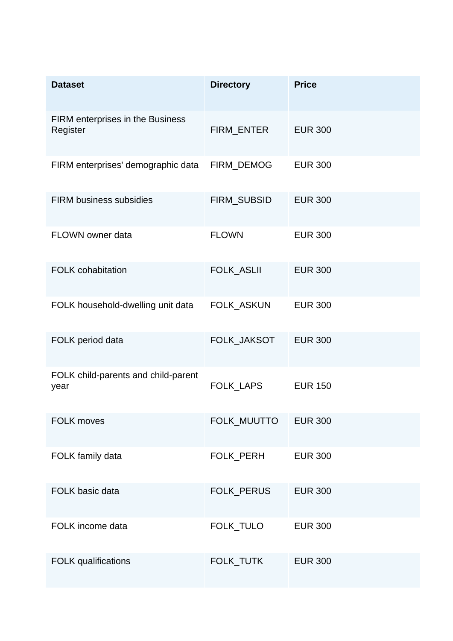| <b>Dataset</b>                                      | <b>Directory</b>  | <b>Price</b>   |
|-----------------------------------------------------|-------------------|----------------|
| <b>FIRM</b> enterprises in the Business<br>Register | FIRM_ENTER        | <b>EUR 300</b> |
| FIRM enterprises' demographic data                  | FIRM_DEMOG        | <b>EUR 300</b> |
| <b>FIRM business subsidies</b>                      | FIRM_SUBSID       | <b>EUR 300</b> |
| FLOWN owner data                                    | <b>FLOWN</b>      | <b>EUR 300</b> |
| <b>FOLK cohabitation</b>                            | <b>FOLK_ASLII</b> | <b>EUR 300</b> |
| FOLK household-dwelling unit data                   | FOLK_ASKUN        | <b>EUR 300</b> |
| FOLK period data                                    | FOLK_JAKSOT       | <b>EUR 300</b> |
| FOLK child-parents and child-parent<br>year         | FOLK_LAPS         | <b>EUR 150</b> |
| <b>FOLK moves</b>                                   | FOLK_MUUTTO       | <b>EUR 300</b> |
| FOLK family data                                    | FOLK_PERH         | <b>EUR 300</b> |
| FOLK basic data                                     | FOLK_PERUS        | <b>EUR 300</b> |
| FOLK income data                                    | FOLK_TULO         | <b>EUR 300</b> |
| <b>FOLK</b> qualifications                          | FOLK_TUTK         | <b>EUR 300</b> |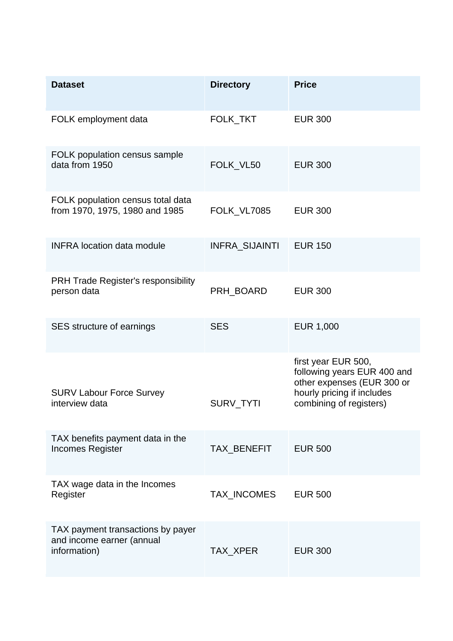| <b>Dataset</b>                                                                 | <b>Directory</b> | <b>Price</b>                                                                                                                              |
|--------------------------------------------------------------------------------|------------------|-------------------------------------------------------------------------------------------------------------------------------------------|
| FOLK employment data                                                           | FOLK_TKT         | <b>EUR 300</b>                                                                                                                            |
| FOLK population census sample<br>data from 1950                                | FOLK VL50        | <b>EUR 300</b>                                                                                                                            |
| FOLK population census total data<br>from 1970, 1975, 1980 and 1985            | FOLK_VL7085      | <b>EUR 300</b>                                                                                                                            |
| <b>INFRA location data module</b>                                              | INFRA_SIJAINTI   | <b>EUR 150</b>                                                                                                                            |
| <b>PRH Trade Register's responsibility</b><br>person data                      | PRH_BOARD        | <b>EUR 300</b>                                                                                                                            |
| SES structure of earnings                                                      | <b>SES</b>       | <b>EUR 1,000</b>                                                                                                                          |
| <b>SURV Labour Force Survey</b><br>interview data                              | SURV_TYTI        | first year EUR 500,<br>following years EUR 400 and<br>other expenses (EUR 300 or<br>hourly pricing if includes<br>combining of registers) |
| TAX benefits payment data in the<br><b>Incomes Register</b>                    | TAX_BENEFIT      | <b>EUR 500</b>                                                                                                                            |
| TAX wage data in the Incomes<br>Register                                       | TAX_INCOMES      | <b>EUR 500</b>                                                                                                                            |
| TAX payment transactions by payer<br>and income earner (annual<br>information) | TAX_XPER         | <b>EUR 300</b>                                                                                                                            |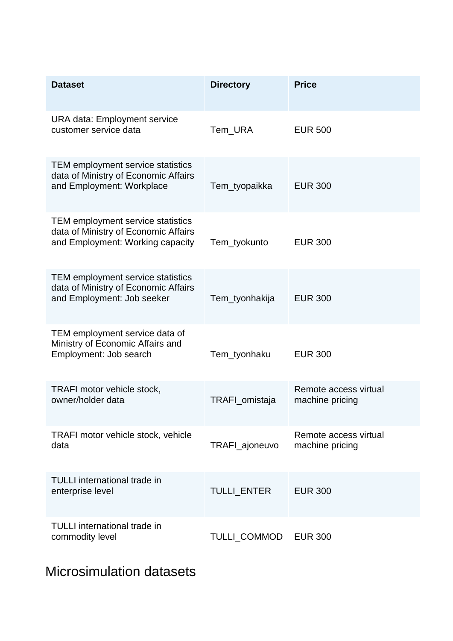| <b>Dataset</b>                                                                                                | <b>Directory</b> | <b>Price</b>                             |
|---------------------------------------------------------------------------------------------------------------|------------------|------------------------------------------|
| <b>URA data: Employment service</b><br>customer service data                                                  | Tem_URA          | <b>EUR 500</b>                           |
| TEM employment service statistics<br>data of Ministry of Economic Affairs<br>and Employment: Workplace        | Tem_tyopaikka    | <b>EUR 300</b>                           |
| TEM employment service statistics<br>data of Ministry of Economic Affairs<br>and Employment: Working capacity | Tem_tyokunto     | <b>EUR 300</b>                           |
| TEM employment service statistics<br>data of Ministry of Economic Affairs<br>and Employment: Job seeker       | Tem_tyonhakija   | <b>EUR 300</b>                           |
| TEM employment service data of<br>Ministry of Economic Affairs and<br>Employment: Job search                  | Tem_tyonhaku     | <b>EUR 300</b>                           |
| TRAFI motor vehicle stock,<br>owner/holder data                                                               | TRAFI_omistaja   | Remote access virtual<br>machine pricing |
| TRAFI motor vehicle stock, vehicle<br>data                                                                    | TRAFI_ajoneuvo   | Remote access virtual<br>machine pricing |
| <b>TULLI</b> international trade in<br>enterprise level                                                       | TULLI_ENTER      | <b>EUR 300</b>                           |
| <b>TULLI</b> international trade in<br>commodity level                                                        | TULLI_COMMOD     | <b>EUR 300</b>                           |

Microsimulation datasets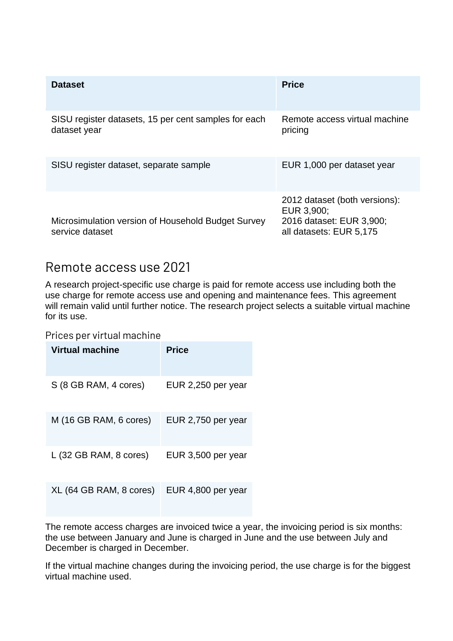| <b>Dataset</b>                                                        | <b>Price</b>                                                                                       |
|-----------------------------------------------------------------------|----------------------------------------------------------------------------------------------------|
| SISU register datasets, 15 per cent samples for each<br>dataset year  | Remote access virtual machine<br>pricing                                                           |
| SISU register dataset, separate sample                                | EUR 1,000 per dataset year                                                                         |
| Microsimulation version of Household Budget Survey<br>service dataset | 2012 dataset (both versions):<br>EUR 3,900;<br>2016 dataset: EUR 3,900;<br>all datasets: EUR 5,175 |

#### Remote access use 2021

A research project-specific use charge is paid for remote access use including both the use charge for remote access use and opening and maintenance fees. This agreement will remain valid until further notice. The research project selects a suitable virtual machine for its use.

Prices per virtual machine

| Virtual machine         | <b>Price</b>       |
|-------------------------|--------------------|
| S (8 GB RAM, 4 cores)   | EUR 2,250 per year |
| M (16 GB RAM, 6 cores)  | EUR 2,750 per year |
| L (32 GB RAM, 8 cores)  | EUR 3,500 per year |
| XL (64 GB RAM, 8 cores) | EUR 4,800 per year |

The remote access charges are invoiced twice a year, the invoicing period is six months: the use between January and June is charged in June and the use between July and December is charged in December.

If the virtual machine changes during the invoicing period, the use charge is for the biggest virtual machine used.